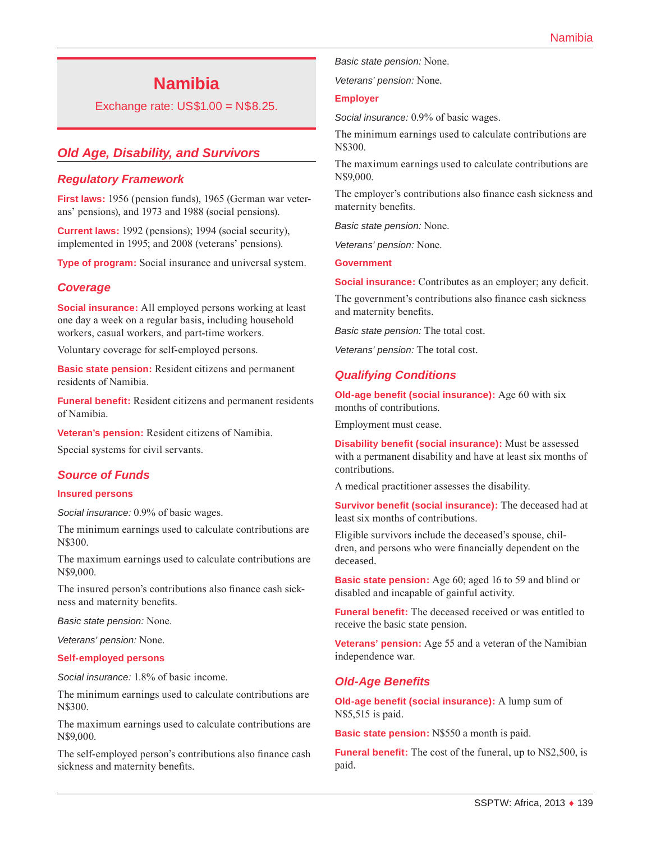# **Namibia**

Exchange rate: US\$1.00 = N\$8.25.

# *Old Age, Disability, and Survivors*

#### *Regulatory Framework*

**First laws:** 1956 (pension funds), 1965 (German war veterans' pensions), and 1973 and 1988 (social pensions).

**Current laws:** 1992 (pensions); 1994 (social security), implemented in 1995; and 2008 (veterans' pensions).

**Type of program:** Social insurance and universal system.

#### *Coverage*

**Social insurance:** All employed persons working at least one day a week on a regular basis, including household workers, casual workers, and part-time workers.

Voluntary coverage for self-employed persons.

**Basic state pension:** Resident citizens and permanent residents of Namibia.

**Funeral benefit:** Resident citizens and permanent residents of Namibia.

**Veteran's pension:** Resident citizens of Namibia.

Special systems for civil servants.

#### *Source of Funds*

#### **Insured persons**

*Social insurance:* 0.9% of basic wages.

The minimum earnings used to calculate contributions are N\$300.

The maximum earnings used to calculate contributions are N\$9,000.

The insured person's contributions also finance cash sickness and maternity benefits.

*Basic state pension:* None.

*Veterans' pension:* None.

#### **Self-employed persons**

*Social insurance:* 1.8% of basic income.

The minimum earnings used to calculate contributions are N\$300.

The maximum earnings used to calculate contributions are N\$9,000.

The self-employed person's contributions also finance cash sickness and maternity benefits.

*Basic state pension:* None.

*Veterans' pension:* None.

#### **Employer**

*Social insurance:* 0.9% of basic wages.

The minimum earnings used to calculate contributions are N\$300.

The maximum earnings used to calculate contributions are N\$9,000.

The employer's contributions also finance cash sickness and maternity benefits.

*Basic state pension:* None.

*Veterans' pension:* None.

**Government**

**Social insurance:** Contributes as an employer; any deficit.

The government's contributions also finance cash sickness and maternity benefits.

*Basic state pension:* The total cost.

*Veterans' pension:* The total cost.

## *Qualifying Conditions*

**Old-age benefit (social insurance):** Age 60 with six months of contributions.

Employment must cease.

**Disability benefit (social insurance):** Must be assessed with a permanent disability and have at least six months of contributions.

A medical practitioner assesses the disability.

**Survivor benefit (social insurance):** The deceased had at least six months of contributions.

Eligible survivors include the deceased's spouse, children, and persons who were financially dependent on the deceased.

**Basic state pension:** Age 60; aged 16 to 59 and blind or disabled and incapable of gainful activity.

**Funeral benefit:** The deceased received or was entitled to receive the basic state pension.

**Veterans' pension:** Age 55 and a veteran of the Namibian independence war.

#### *Old-Age Benefits*

**Old-age benefit (social insurance):** A lump sum of N\$5,515 is paid.

**Basic state pension:** N\$550 a month is paid.

**Funeral benefit:** The cost of the funeral, up to N\$2,500, is paid.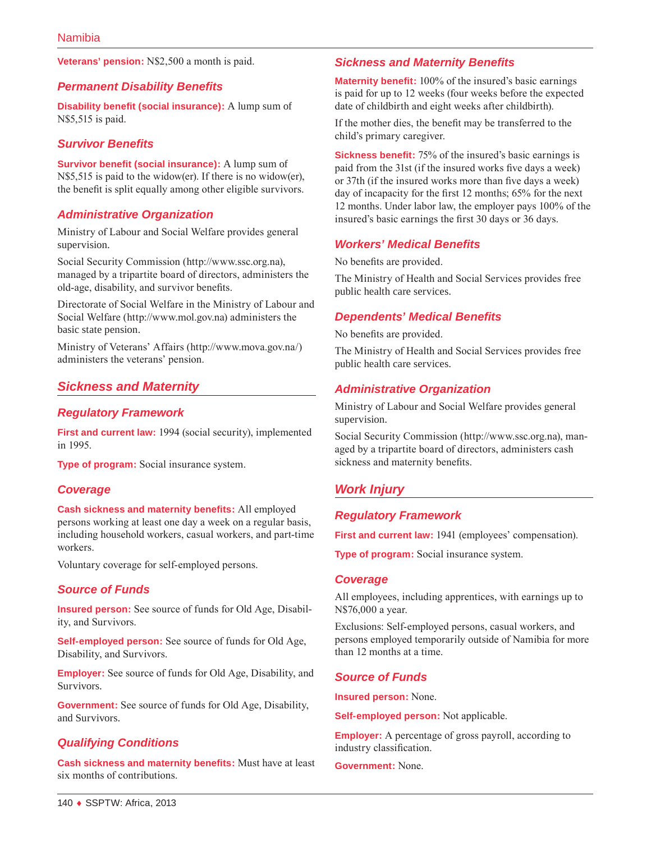**Veterans' pension:** N\$2,500 a month is paid.

## *Permanent Disability Benefits*

**Disability benefit (social insurance):** A lump sum of N\$5,515 is paid.

## *Survivor Benefits*

**Survivor benefit (social insurance):** A lump sum of N\$5,515 is paid to the widow(er). If there is no widow(er), the benefit is split equally among other eligible survivors.

## *Administrative Organization*

Ministry of Labour and Social Welfare provides general supervision.

Social Security Commission ([http://www.ssc.org.na\)](http://www.ssc.org.na), managed by a tripartite board of directors, administers the old-age, disability, and survivor benefits.

Directorate of Social Welfare in the Ministry of Labour and Social Welfare ([http://www.mol.gov.na\)](http://www.mol.gov.na) administers the basic state pension.

Ministry of Veterans' Affairs (<http://www.mova.gov.na/>) administers the veterans' pension.

## *Sickness and Maternity*

#### *Regulatory Framework*

**First and current law:** 1994 (social security), implemented in 1995.

**Type of program:** Social insurance system.

#### *Coverage*

**Cash sickness and maternity benefits:** All employed persons working at least one day a week on a regular basis, including household workers, casual workers, and part-time workers.

Voluntary coverage for self-employed persons.

## *Source of Funds*

**Insured person:** See source of funds for Old Age, Disability, and Survivors.

**Self-employed person:** See source of funds for Old Age, Disability, and Survivors.

**Employer:** See source of funds for Old Age, Disability, and Survivors.

**Government:** See source of funds for Old Age, Disability, and Survivors.

## *Qualifying Conditions*

**Cash sickness and maternity benefits:** Must have at least six months of contributions.

## *Sickness and Maternity Benefits*

**Maternity benefit:** 100% of the insured's basic earnings is paid for up to 12 weeks (four weeks before the expected date of childbirth and eight weeks after childbirth).

If the mother dies, the benefit may be transferred to the child's primary caregiver.

**Sickness benefit:** 75% of the insured's basic earnings is paid from the 31st (if the insured works five days a week) or 37th (if the insured works more than five days a week) day of incapacity for the first 12 months; 65% for the next 12 months. Under labor law, the employer pays 100% of the insured's basic earnings the first 30 days or 36 days.

#### *Workers' Medical Benefits*

No benefits are provided.

The Ministry of Health and Social Services provides free public health care services.

#### *Dependents' Medical Benefits*

No benefits are provided.

The Ministry of Health and Social Services provides free public health care services.

#### *Administrative Organization*

Ministry of Labour and Social Welfare provides general supervision.

Social Security Commission ([http://www.ssc.org.na\)](http://www.ssc.org.na), managed by a tripartite board of directors, administers cash sickness and maternity benefits.

## *Work Injury*

#### *Regulatory Framework*

First and current law: 1941 (employees' compensation).

**Type of program:** Social insurance system.

#### *Coverage*

All employees, including apprentices, with earnings up to N\$76,000 a year.

Exclusions: Self-employed persons, casual workers, and persons employed temporarily outside of Namibia for more than 12 months at a time.

#### *Source of Funds*

**Insured person:** None.

**Self-employed person:** Not applicable.

**Employer:** A percentage of gross payroll, according to industry classification.

**Government:** None.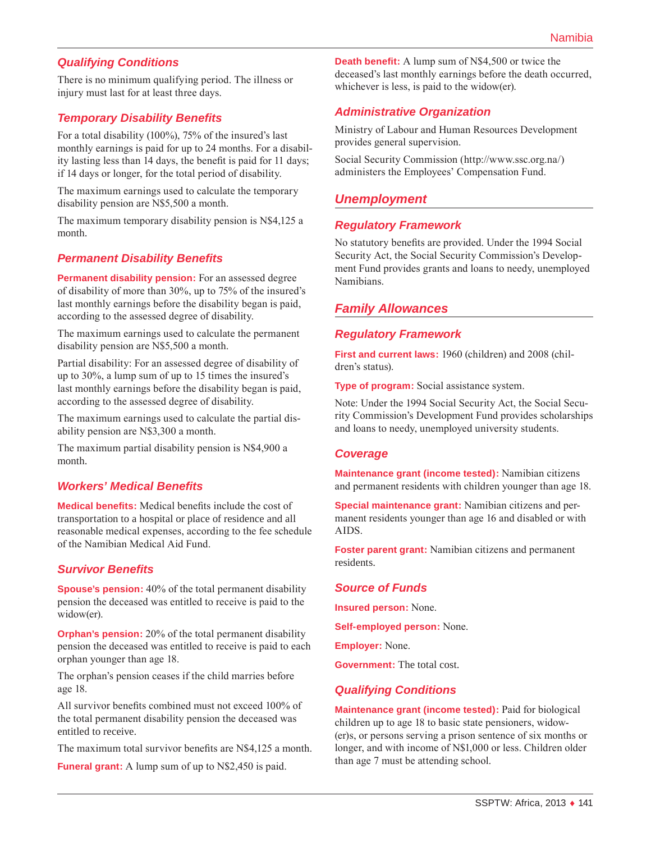# *Qualifying Conditions*

There is no minimum qualifying period. The illness or injury must last for at least three days.

## *Temporary Disability Benefits*

For a total disability (100%), 75% of the insured's last monthly earnings is paid for up to 24 months. For a disability lasting less than 14 days, the benefit is paid for 11 days; if 14 days or longer, for the total period of disability.

The maximum earnings used to calculate the temporary disability pension are N\$5,500 a month.

The maximum temporary disability pension is N\$4,125 a month.

#### *Permanent Disability Benefits*

**Permanent disability pension:** For an assessed degree of disability of more than 30%, up to 75% of the insured's last monthly earnings before the disability began is paid, according to the assessed degree of disability.

The maximum earnings used to calculate the permanent disability pension are N\$5,500 a month.

Partial disability: For an assessed degree of disability of up to 30%, a lump sum of up to 15 times the insured's last monthly earnings before the disability began is paid, according to the assessed degree of disability.

The maximum earnings used to calculate the partial disability pension are N\$3,300 a month.

The maximum partial disability pension is N\$4,900 a month.

#### *Workers' Medical Benefits*

**Medical benefits:** Medical benefits include the cost of transportation to a hospital or place of residence and all reasonable medical expenses, according to the fee schedule of the Namibian Medical Aid Fund.

#### *Survivor Benefits*

**Spouse's pension:** 40% of the total permanent disability pension the deceased was entitled to receive is paid to the widow(er).

**Orphan's pension:** 20% of the total permanent disability pension the deceased was entitled to receive is paid to each orphan younger than age 18.

The orphan's pension ceases if the child marries before age 18.

All survivor benefits combined must not exceed 100% of the total permanent disability pension the deceased was entitled to receive.

The maximum total survivor benefits are N\$4,125 a month.

**Funeral grant:** A lump sum of up to N\$2,450 is paid.

**Death benefit:** A lump sum of N\$4,500 or twice the deceased's last monthly earnings before the death occurred, whichever is less, is paid to the widow(er).

## *Administrative Organization*

Ministry of Labour and Human Resources Development provides general supervision.

Social Security Commission ([http://www.ssc.org.na/\)](http://www.ssc.org.na/) administers the Employees' Compensation Fund.

# *Unemployment*

#### *Regulatory Framework*

No statutory benefits are provided. Under the 1994 Social Security Act, the Social Security Commission's Development Fund provides grants and loans to needy, unemployed Namibians.

## *Family Allowances*

#### *Regulatory Framework*

**First and current laws:** 1960 (children) and 2008 (children's status).

**Type of program:** Social assistance system.

Note: Under the 1994 Social Security Act, the Social Security Commission's Development Fund provides scholarships and loans to needy, unemployed university students.

#### *Coverage*

**Maintenance grant (income tested):** Namibian citizens and permanent residents with children younger than age 18.

**Special maintenance grant:** Namibian citizens and permanent residents younger than age 16 and disabled or with AIDS.

**Foster parent grant:** Namibian citizens and permanent residents.

#### *Source of Funds*

**Insured person:** None.

**Self-employed person:** None.

**Employer:** None.

**Government:** The total cost.

# *Qualifying Conditions*

**Maintenance grant (income tested):** Paid for biological children up to age 18 to basic state pensioners, widow- (er)s, or persons serving a prison sentence of six months or longer, and with income of N\$1,000 or less. Children older than age 7 must be attending school.